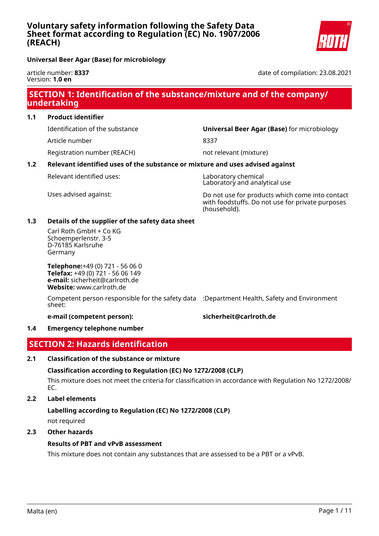date of compilation: 23.08.2021

**Universal Beer Agar (Base) for microbiology**

article number: **8337** Version: **1.0 en**

# **SECTION 1: Identification of the substance/mixture and of the company/ undertaking**

**1.1 Product identifier**

Article number 8337

Registration number (REACH) not relevant (mixture)

Identification of the substance **Universal Beer Agar (Base)** for microbiology

# **1.2 Relevant identified uses of the substance or mixture and uses advised against**

Relevant identified uses: Laboratory chemical

Laboratory and analytical use

Uses advised against: Do not use for products which come into contact with foodstuffs. Do not use for private purposes (household).

# **1.3 Details of the supplier of the safety data sheet**

Carl Roth GmbH + Co KG Schoemperlenstr. 3-5 D-76185 Karlsruhe Germany

**Telephone:**+49 (0) 721 - 56 06 0 **Telefax:** +49 (0) 721 - 56 06 149 **e-mail:** sicherheit@carlroth.de **Website:** www.carlroth.de

Competent person responsible for the safety data :Department Health, Safety and Environment sheet:

**e-mail (competent person): sicherheit@carlroth.de**

# **1.4 Emergency telephone number**

# **SECTION 2: Hazards identification**

# **2.1 Classification of the substance or mixture**

**Classification according to Regulation (EC) No 1272/2008 (CLP)**

This mixture does not meet the criteria for classification in accordance with Regulation No 1272/2008/ EC.

# **2.2 Label elements**

**Labelling according to Regulation (EC) No 1272/2008 (CLP)**

not required

# **2.3 Other hazards**

# **Results of PBT and vPvB assessment**

This mixture does not contain any substances that are assessed to be a PBT or a vPvB.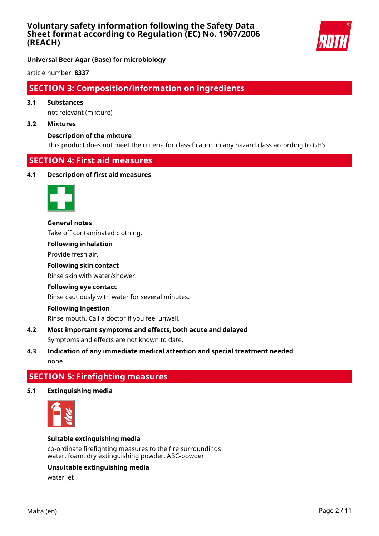

**Universal Beer Agar (Base) for microbiology**

article number: **8337**

# **SECTION 3: Composition/information on ingredients**

# **3.1 Substances**

not relevant (mixture)

#### **3.2 Mixtures**

## **Description of the mixture**

This product does not meet the criteria for classification in any hazard class according to GHS

# **SECTION 4: First aid measures**

## **4.1 Description of first aid measures**



#### **General notes**

Take off contaminated clothing.

**Following inhalation**

Provide fresh air.

### **Following skin contact**

Rinse skin with water/shower.

## **Following eye contact**

Rinse cautiously with water for several minutes.

## **Following ingestion**

Rinse mouth. Call a doctor if you feel unwell.

# **4.2 Most important symptoms and effects, both acute and delayed** Symptoms and effects are not known to date.

**4.3 Indication of any immediate medical attention and special treatment needed** none

# **SECTION 5: Firefighting measures**

**5.1 Extinguishing media**



## **Suitable extinguishing media**

co-ordinate firefighting measures to the fire surroundings water, foam, dry extinguishing powder, ABC-powder

# **Unsuitable extinguishing media**

water jet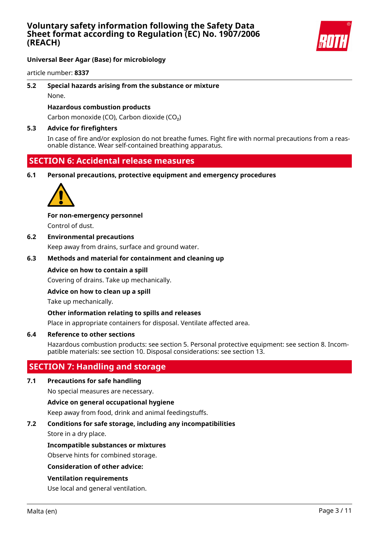

# **Universal Beer Agar (Base) for microbiology**

article number: **8337**

# **5.2 Special hazards arising from the substance or mixture**

None.

## **Hazardous combustion products**

Carbon monoxide (CO), Carbon dioxide (CO₂)

### **5.3 Advice for firefighters**

In case of fire and/or explosion do not breathe fumes. Fight fire with normal precautions from a reasonable distance. Wear self-contained breathing apparatus.

# **SECTION 6: Accidental release measures**

**6.1 Personal precautions, protective equipment and emergency procedures**



#### **For non-emergency personnel**

Control of dust.

### **6.2 Environmental precautions**

Keep away from drains, surface and ground water.

# **6.3 Methods and material for containment and cleaning up**

#### **Advice on how to contain a spill**

Covering of drains. Take up mechanically.

#### **Advice on how to clean up a spill**

Take up mechanically.

#### **Other information relating to spills and releases**

Place in appropriate containers for disposal. Ventilate affected area.

#### **6.4 Reference to other sections**

Hazardous combustion products: see section 5. Personal protective equipment: see section 8. Incompatible materials: see section 10. Disposal considerations: see section 13.

# **SECTION 7: Handling and storage**

#### **7.1 Precautions for safe handling**

No special measures are necessary.

#### **Advice on general occupational hygiene**

Keep away from food, drink and animal feedingstuffs.

## **7.2 Conditions for safe storage, including any incompatibilities**

Store in a dry place.

#### **Incompatible substances or mixtures**

Observe hints for combined storage.

#### **Consideration of other advice:**

## **Ventilation requirements**

Use local and general ventilation.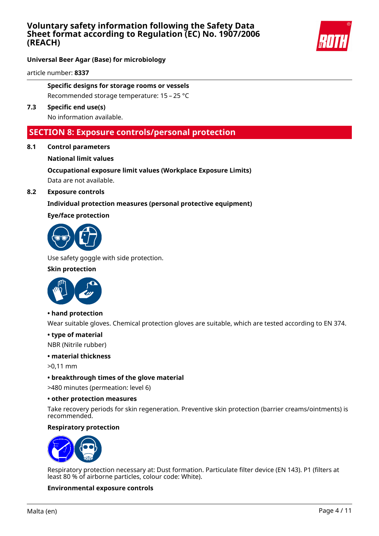

# **Universal Beer Agar (Base) for microbiology**

article number: **8337**

**Specific designs for storage rooms or vessels** Recommended storage temperature: 15 – 25 °C

**7.3 Specific end use(s)**

No information available.

# **SECTION 8: Exposure controls/personal protection**

**8.1 Control parameters**

# **National limit values**

**Occupational exposure limit values (Workplace Exposure Limits)** Data are not available.

**8.2 Exposure controls**

# **Individual protection measures (personal protective equipment)**

# **Eye/face protection**



Use safety goggle with side protection.

## **Skin protection**



## **• hand protection**

Wear suitable gloves. Chemical protection gloves are suitable, which are tested according to EN 374.

# **• type of material**

NBR (Nitrile rubber)

# **• material thickness**

>0,11 mm

**• breakthrough times of the glove material**

>480 minutes (permeation: level 6)

#### **• other protection measures**

Take recovery periods for skin regeneration. Preventive skin protection (barrier creams/ointments) is recommended.

# **Respiratory protection**



Respiratory protection necessary at: Dust formation. Particulate filter device (EN 143). P1 (filters at least 80 % of airborne particles, colour code: White).

## **Environmental exposure controls**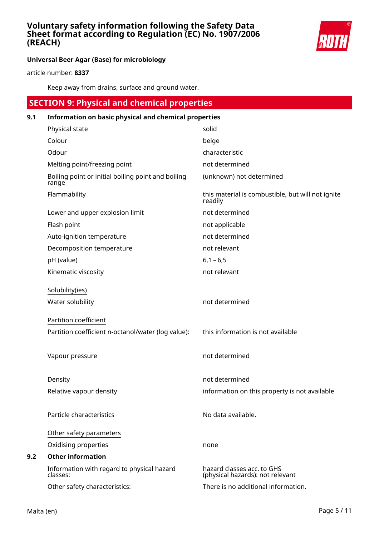

# **Universal Beer Agar (Base) for microbiology**

article number: **8337**

Keep away from drains, surface and ground water.

# **SECTION 9: Physical and chemical properties 9.1 Information on basic physical and chemical properties** Physical state solid Colour beige Odour characteristic characteristic Melting point/freezing point not determined Boiling point or initial boiling point and boiling range (unknown) not determined Flammability **the interval is combustible**, but will not ignite readily Lower and upper explosion limit not determined Flash point not applicable Auto-ignition temperature not determined Decomposition temperature not relevant pH (value) 6,1 – 6,5 Kinematic viscosity not relevant Solubility(ies) Water solubility not determined Partition coefficient Partition coefficient n-octanol/water (log value): this information is not available Vapour pressure not determined Density **Density** not determined Relative vapour density information on this property is not available Particle characteristics No data available. Other safety parameters Oxidising properties none **9.2 Other information** Information with regard to physical hazard classes: hazard classes acc. to GHS (physical hazards): not relevant Other safety characteristics: There is no additional information.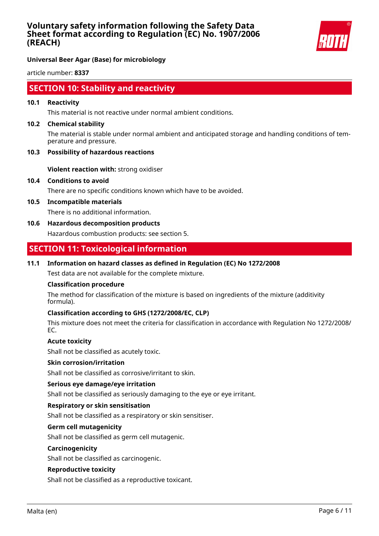

**Universal Beer Agar (Base) for microbiology**

article number: **8337**

# **SECTION 10: Stability and reactivity**

### **10.1 Reactivity**

This material is not reactive under normal ambient conditions.

#### **10.2 Chemical stability**

The material is stable under normal ambient and anticipated storage and handling conditions of temperature and pressure.

#### **10.3 Possibility of hazardous reactions**

**Violent reaction with:** strong oxidiser

**10.4 Conditions to avoid**

There are no specific conditions known which have to be avoided.

**10.5 Incompatible materials**

There is no additional information.

**10.6 Hazardous decomposition products**

Hazardous combustion products: see section 5.

# **SECTION 11: Toxicological information**

## **11.1 Information on hazard classes as defined in Regulation (EC) No 1272/2008**

Test data are not available for the complete mixture.

## **Classification procedure**

The method for classification of the mixture is based on ingredients of the mixture (additivity formula).

## **Classification according to GHS (1272/2008/EC, CLP)**

This mixture does not meet the criteria for classification in accordance with Regulation No 1272/2008/ EC.

## **Acute toxicity**

Shall not be classified as acutely toxic.

#### **Skin corrosion/irritation**

Shall not be classified as corrosive/irritant to skin.

## **Serious eye damage/eye irritation**

Shall not be classified as seriously damaging to the eye or eye irritant.

#### **Respiratory or skin sensitisation**

Shall not be classified as a respiratory or skin sensitiser.

#### **Germ cell mutagenicity**

Shall not be classified as germ cell mutagenic.

#### **Carcinogenicity**

Shall not be classified as carcinogenic.

#### **Reproductive toxicity**

Shall not be classified as a reproductive toxicant.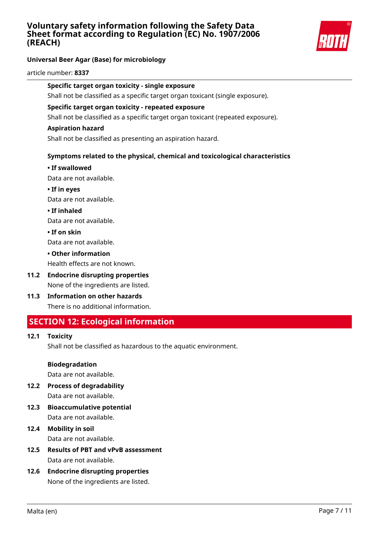

# **Universal Beer Agar (Base) for microbiology**

#### article number: **8337**

# **Specific target organ toxicity - single exposure**

Shall not be classified as a specific target organ toxicant (single exposure).

#### **Specific target organ toxicity - repeated exposure**

Shall not be classified as a specific target organ toxicant (repeated exposure).

#### **Aspiration hazard**

Shall not be classified as presenting an aspiration hazard.

# **Symptoms related to the physical, chemical and toxicological characteristics**

#### **• If swallowed**

Data are not available.

**• If in eyes** Data are not available.

**• If inhaled**

Data are not available.

**• If on skin**

Data are not available.

**• Other information**

Health effects are not known.

- **11.2 Endocrine disrupting properties** None of the ingredients are listed.
- **11.3 Information on other hazards** There is no additional information.

# **SECTION 12: Ecological information**

# **12.1 Toxicity**

Shall not be classified as hazardous to the aquatic environment.

#### **Biodegradation**

Data are not available.

**12.2 Process of degradability**

Data are not available.

**12.3 Bioaccumulative potential** Data are not available.

# **12.4 Mobility in soil** Data are not available.

- **12.5 Results of PBT and vPvB assessment** Data are not available.
- **12.6 Endocrine disrupting properties** None of the ingredients are listed.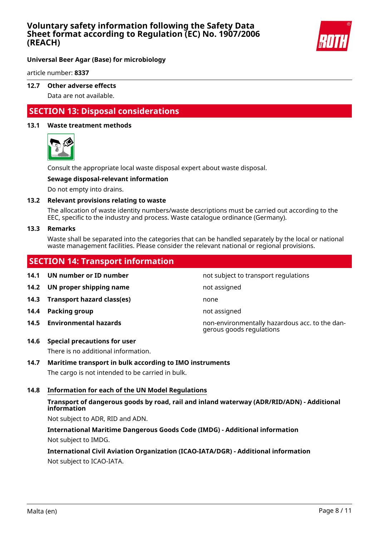

# **Universal Beer Agar (Base) for microbiology**

article number: **8337**

# **12.7 Other adverse effects**

Data are not available.

# **SECTION 13: Disposal considerations**

## **13.1 Waste treatment methods**



Consult the appropriate local waste disposal expert about waste disposal.

## **Sewage disposal-relevant information**

Do not empty into drains.

## **13.2 Relevant provisions relating to waste**

The allocation of waste identity numbers/waste descriptions must be carried out according to the EEC, specific to the industry and process. Waste catalogue ordinance (Germany).

#### **13.3 Remarks**

Waste shall be separated into the categories that can be handled separately by the local or national waste management facilities. Please consider the relevant national or regional provisions.

# **SECTION 14: Transport information**

**14.1 UN number or ID number not subject to transport regulations 14.2 UN proper shipping name** not assigned **14.3 Transport hazard class(es)** none **14.4 Packing group not assigned not assigned 14.5 Environmental hazards** non-environmentally hazardous acc. to the dangerous goods regulations

## **14.6 Special precautions for user**

There is no additional information.

## **14.7 Maritime transport in bulk according to IMO instruments**

The cargo is not intended to be carried in bulk.

# **14.8 Information for each of the UN Model Regulations**

# **Transport of dangerous goods by road, rail and inland waterway (ADR/RID/ADN) - Additional information**

Not subject to ADR, RID and ADN.

**International Maritime Dangerous Goods Code (IMDG) - Additional information** Not subject to IMDG.

# **International Civil Aviation Organization (ICAO-IATA/DGR) - Additional information**

Not subject to ICAO-IATA.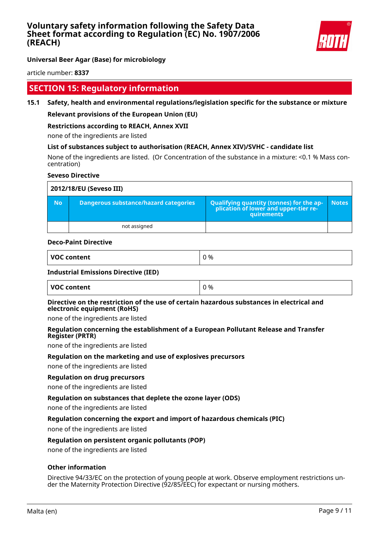

**Universal Beer Agar (Base) for microbiology**

article number: **8337**

# **SECTION 15: Regulatory information**

# **15.1 Safety, health and environmental regulations/legislation specific for the substance or mixture**

# **Relevant provisions of the European Union (EU)**

# **Restrictions according to REACH, Annex XVII**

none of the ingredients are listed

## **List of substances subject to authorisation (REACH, Annex XIV)/SVHC - candidate list**

None of the ingredients are listed. (Or Concentration of the substance in a mixture: <0.1 % Mass concentration)

## **Seveso Directive**

| 2012/18/EU (Seveso III) |                                       |                                                                                            |              |  |
|-------------------------|---------------------------------------|--------------------------------------------------------------------------------------------|--------------|--|
| <b>No</b>               | Dangerous substance/hazard categories | Qualifying quantity (tonnes) for the application of lower and upper-tier re-<br>quirements | <b>Notes</b> |  |
|                         | not assigned                          |                                                                                            |              |  |

#### **Deco-Paint Directive**

| <b>VOC</b><br>content<br>יש | 0 % |
|-----------------------------|-----|
|                             |     |

#### **Industrial Emissions Directive (IED)**

| VOC content | 0 % |
|-------------|-----|
|             |     |

### **Directive on the restriction of the use of certain hazardous substances in electrical and electronic equipment (RoHS)**

none of the ingredients are listed

# **Regulation concerning the establishment of a European Pollutant Release and Transfer Register (PRTR)**

none of the ingredients are listed

## **Regulation on the marketing and use of explosives precursors**

none of the ingredients are listed

# **Regulation on drug precursors**

none of the ingredients are listed

## **Regulation on substances that deplete the ozone layer (ODS)**

none of the ingredients are listed

## **Regulation concerning the export and import of hazardous chemicals (PIC)**

none of the ingredients are listed

## **Regulation on persistent organic pollutants (POP)**

none of the ingredients are listed

## **Other information**

Directive 94/33/EC on the protection of young people at work. Observe employment restrictions under the Maternity Protection Directive (92/85/EEC) for expectant or nursing mothers.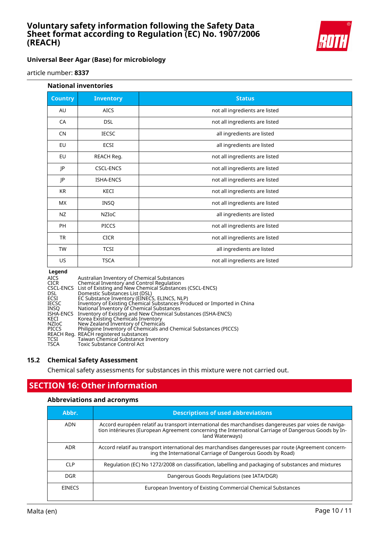

# **Universal Beer Agar (Base) for microbiology**

article

| <b>National inventories</b> |                  |                                |
|-----------------------------|------------------|--------------------------------|
| <b>Country</b>              | <b>Inventory</b> | <b>Status</b>                  |
| AU                          | <b>AICS</b>      | not all ingredients are listed |
| CA                          | <b>DSL</b>       | not all ingredients are listed |
| <b>CN</b>                   | <b>IECSC</b>     | all ingredients are listed     |
| EU                          | <b>ECSI</b>      | all ingredients are listed     |
| EU                          | REACH Reg.       | not all ingredients are listed |
| JP                          | <b>CSCL-ENCS</b> | not all ingredients are listed |
| JP                          | <b>ISHA-ENCS</b> | not all ingredients are listed |
| <b>KR</b>                   | KECI             | not all ingredients are listed |
| <b>MX</b>                   | <b>INSQ</b>      | not all ingredients are listed |
| <b>NZ</b>                   | <b>NZIOC</b>     | all ingredients are listed     |
| PH                          | <b>PICCS</b>     | not all ingredients are listed |
| <b>TR</b>                   | <b>CICR</b>      | not all ingredients are listed |
| <b>TW</b>                   | <b>TCSI</b>      | all ingredients are listed     |
| US                          | <b>TSCA</b>      | not all ingredients are listed |

| <b>AICS</b><br><b>CICR</b> | Australian Inventory of Chemical Substances<br>Chemical Inventory and Control Regulation |
|----------------------------|------------------------------------------------------------------------------------------|
|                            | CSCL-ENCS List of Existing and New Chemical Substances (CSCL-ENCS)                       |
| DSL.                       | Domestic Substances List (DSL)                                                           |
| <b>ECSI</b>                | EC Substance Inventory (EINECS, ELINCS, NLP)                                             |
| <b>IECSC</b>               | Inventory of Existing Chemical Substances Produced or Imported in China                  |
| INSO                       | National Inventory of Chemical Substances                                                |
| ISHA-ENCS                  | Inventory of Existing and New Chemical Substances (ISHA-ENCS)                            |
| KECI                       | Korea Existing Chemicals Inventory                                                       |
| NZIoC                      | New Zealand Inventory of Chemicals                                                       |
| <b>PICCS</b>               | Philippine Inventory of Chemicals and Chemical Substances (PICCS)                        |
|                            | REACH Reg. REACH registered substances                                                   |
| TCSI                       | Taiwan Chemical Substance Inventory                                                      |
| <b>TSCA</b>                | Toxic Substance Control Act                                                              |

# **15.2 Chemical Safety Assessment**

Chemical safety assessments for substances in this mixture were not carried out.

# **SECTION 16: Other information**

# **Abbreviations and acronyms**

| Abbr.           | <b>Descriptions of used abbreviations</b>                                                                                                                                                                                       |
|-----------------|---------------------------------------------------------------------------------------------------------------------------------------------------------------------------------------------------------------------------------|
| ADN             | Accord européen relatif au transport international des marchandises dangereuses par voies de naviga-<br>tion intérieures (European Agreement concerning the International Carriage of Dangerous Goods by In-<br>land Waterways) |
| ADR             | Accord relatif au transport international des marchandises dangereuses par route (Agreement concern-<br>ing the International Carriage of Dangerous Goods by Road)                                                              |
| CLP <sup></sup> | Regulation (EC) No 1272/2008 on classification, labelling and packaging of substances and mixtures                                                                                                                              |
| DGR             | Dangerous Goods Regulations (see IATA/DGR)                                                                                                                                                                                      |
| <b>EINECS</b>   | European Inventory of Existing Commercial Chemical Substances                                                                                                                                                                   |